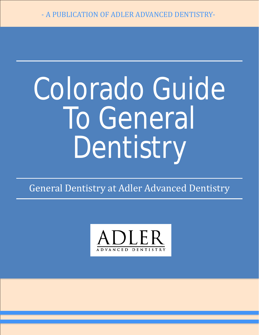# Colorado Guide To General Dentistry

General Dentistry at Adler Advanced Dentistry

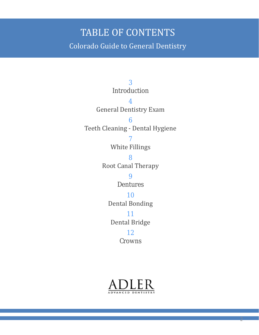#### TABLE OF CONTENTS Colorado Guide to General Dentistry

3 Introduction 4 General Dentistry Exam 6 Teeth Cleaning - Dental Hygiene 7 White Fillings 8 Root Canal Therapy 9 Dentures 10 Dental Bonding 11 Dental Bridge 12 Crowns



2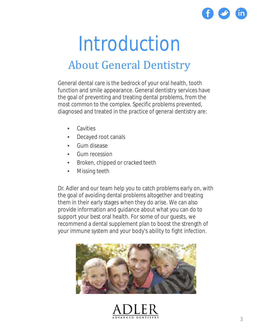

### Introduction About General Dentistry

General dental care is the bedrock of your oral health, tooth function and smile appearance. General dentistry services have the goal of preventing and treating dental problems, from the most common to the complex. Specific problems prevented, diagnosed and treated in the practice of general dentistry are:

- **Cavities**
- Decayed root canals
- Gum disease
- Gum recession
- Broken, chipped or cracked teeth
- Missing teeth

Dr. Adler and our team help you to catch problems early on, with the goal of avoiding dental problems altogether and treating them in their early stages when they do arise. We can also provide information and guidance about what you can do to support your best oral health. For some of our guests, we recommend a dental supplement plan to boost the strength of your immune system and your body's ability to fight infection.



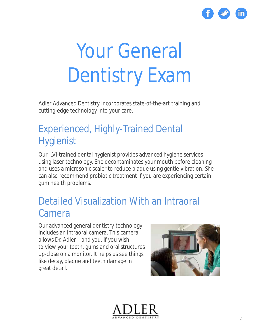

## Your General Dentistry Exam

Adler Advanced Dentistry incorporates state-of-the-art training and cutting-edge technology into your care.

#### Experienced, Highly-Trained Dental Hygienist

Our LVI-trained dental hygienist provides advanced hygiene services using laser technology. She decontaminates your mouth before cleaning and uses a microsonic scaler to reduce plaque using gentle vibration. She can also recommend probiotic treatment if you are experiencing certain gum health problems.

#### Detailed Visualization With an Intraoral Camera

Our advanced general dentistry technology includes an intraoral camera. This camera allows Dr. Adler – and you, if you wish – to view your teeth, gums and oral structures up-close on a monitor. It helps us see things like decay, plaque and teeth damage in great detail.



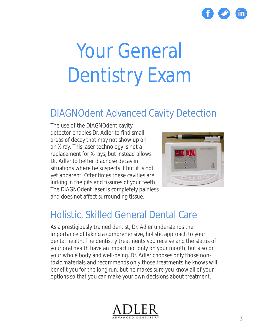

## Your General Dentistry Exam

#### DIAGNOdent Advanced Cavity Detection

The use of the DIAGNOdent cavity detector enables Dr. Adler to find small areas of decay that may not show up on an X-ray. This laser technology is not a replacement for X-rays, but instead allows Dr. Adler to better diagnose decay in situations where he suspects it but it is not yet apparent. Oftentimes these cavities are lurking in the pits and fissures of your teeth. The DIAGNOdent laser is completely painless and does not affect surrounding tissue.



#### Holistic, Skilled General Dental Care

As a prestigiously trained dentist, Dr. Adler understands the importance of taking a comprehensive, holistic approach to your dental health. The dentistry treatments you receive and the status of your oral health have an impact not only on your mouth, but also on your whole body and well-being. Dr. Adler chooses only those nontoxic materials and recommends only those treatments he knows will benefit you for the long run, but he makes sure you know all of your options so that you can make your own decisions about treatment.

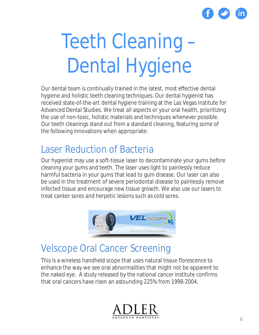

## Teeth Cleaning – Dental Hygiene

Our dental team is continually trained in the latest, most effective dental hygiene and holistic teeth cleaning techniques. Our dental hygienist has received state-of-the-art dental hygiene training at the Las Vegas Institute for Advanced Dental Studies. We treat all aspects or your oral health, prioritizing the use of non-toxic, holistic materials and techniques whenever possible. Our teeth cleanings stand out from a standard cleaning, featuring some of the following innovations when appropriate:

#### Laser Reduction of Bacteria

Our hygienist may use a soft-tissue laser to decontaminate your gums before cleaning your gums and teeth. The laser uses light to painlessly reduce harmful bacteria in your gums that lead to gum disease. Our laser can also be used in the treatment of severe periodontal disease to painlessly remove infected tissue and encourage new tissue growth. We also use our lasers to treat canker sores and herpetic lesions such as cold sores.



#### Velscope Oral Cancer Screening

This is a wireless handheld scope that uses natural tissue florescence to enhance the way we see oral abnormalities that might not be apparent to the naked eye. A study released by the national cancer institute confirms that oral cancers have risen an astounding 225% from 1998-2004.

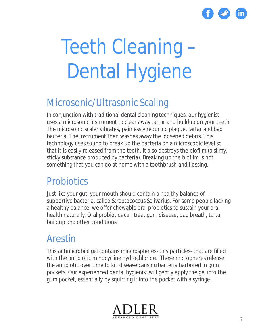

## Teeth Cleaning – Dental Hygiene

#### Microsonic/Ultrasonic Scaling

In conjunction with traditional dental cleaning techniques, our hygienist uses a microsonic instrument to clear away tartar and buildup on your teeth. The microsonic scaler vibrates, painlessly reducing plaque, tartar and bad bacteria. The instrument then washes away the loosened debris. This technology uses sound to break up the bacteria on a microscopic level so that it is easily released from the teeth. It also destroys the biofilm (a slimy, sticky substance produced by bacteria). Breaking up the biofilm is not something that you can do at home with a toothbrush and flossing.

#### **Probiotics**

Just like your gut, your mouth should contain a healthy balance of supportive bacteria, called Streptococcus Salivarius. For some people lacking a healthy balance, we offer chewable oral probiotics to sustain your oral health naturally. Oral probiotics can treat gum disease, bad breath, tartar buildup and other conditions.

#### Arestin

This antimicrobial gel contains mincrospheres- tiny particles- that are filled with the antibiotic minocycline hydrochloride. These micropheres release the antibiotic over time to kill disease causing bacteria harbored in gum pockets. Our experienced dental hygienist will gently apply the gel into the gum pocket, essentially by squirting it into the pocket with a syringe.

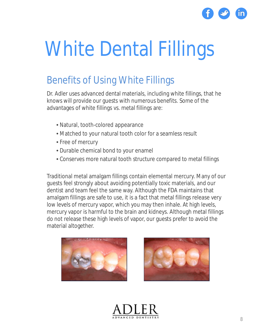

### White Dental Fillings

#### Benefits of Using White Fillings

Dr. Adler uses advanced dental materials, including white fillings, that he knows will provide our guests with numerous benefits. Some of the advantages of white fillings vs. metal fillings are:

- Natural, tooth-colored appearance
- Matched to your natural tooth color for a seamless result
- Free of mercury
- Durable chemical bond to your enamel
- Conserves more natural tooth structure compared to metal fillings

Traditional metal amalgam fillings contain elemental mercury. Many of our guests feel strongly about avoiding potentially toxic materials, and our dentist and team feel the same way. Although the FDA maintains that amalgam fillings are safe to use, it is a fact that metal fillings release very low levels of mercury vapor, which you may then inhale. At high levels, mercury vapor is harmful to the brain and kidneys. Although metal fillings do not release these high levels of vapor, our guests prefer to avoid the material altogether.





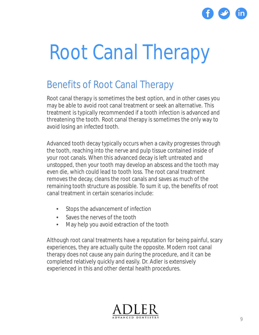

### Root Canal Therapy

#### Benefits of Root Canal Therapy

Root canal therapy is sometimes the best option, and in other cases you may be able to avoid root canal treatment or seek an alternative. This treatment is typically recommended if a tooth infection is advanced and threatening the tooth. Root canal therapy is sometimes the only way to avoid losing an infected tooth.

Advanced tooth decay typically occurs when a cavity progresses through the tooth, reaching into the nerve and pulp tissue contained inside of your root canals. When this advanced decay is left untreated and unstopped, then your tooth may develop an abscess and the tooth may even die, which could lead to tooth loss. The root canal treatment removes the decay, cleans the root canals and saves as much of the remaining tooth structure as possible. To sum it up, the benefits of root canal treatment in certain scenarios include:

- Stops the advancement of infection
- Saves the nerves of the tooth
- May help you avoid extraction of the tooth

Although root canal treatments have a reputation for being painful, scary experiences, they are actually quite the opposite. Modern root canal therapy does not cause any pain during the procedure, and it can be completed relatively quickly and easily. Dr. Adler is extensively experienced in this and other dental health procedures.

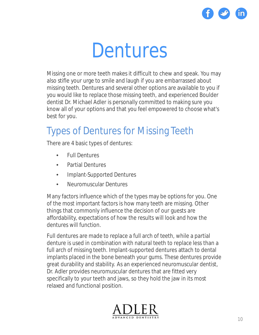

### Dentures

Missing one or more teeth makes it difficult to chew and speak. You may also stifle your urge to smile and laugh if you are embarrassed about missing teeth. Dentures and several other options are available to you if you would like to replace those missing teeth, and experienced Boulder dentist Dr. Michael Adler is personally committed to making sure you know all of your options and that you feel empowered to choose what's best for you.

#### Types of Dentures for Missing Teeth

There are 4 basic types of dentures:

- Full Dentures
- Partial Dentures
- Implant-Supported Dentures
- Neuromuscular Dentures

Many factors influence which of the types may be options for you. One of the most important factors is how many teeth are missing. Other things that commonly influence the decision of our guests are affordability, expectations of how the results will look and how the dentures will function.

Full dentures are made to replace a full arch of teeth, while a partial denture is used in combination with natural teeth to replace less than a full arch of missing teeth. Implant-supported dentures attach to dental implants placed in the bone beneath your gums. These dentures provide great durability and stability. As an experienced neuromuscular dentist, Dr. Adler provides neuromuscular dentures that are fitted very specifically to your teeth and jaws, so they hold the jaw in its most relaxed and functional position.

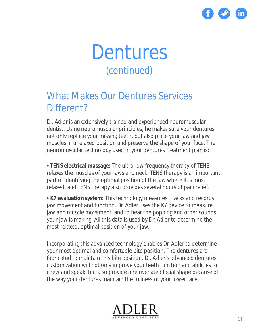

### Dentures *(continued)*

#### What Makes Our Dentures Services Different?

Dr. Adler is an extensively trained and experienced neuromuscular dentist. Using neuromuscular principles, he makes sure your dentures not only replace your missing teeth, but also place your jaw and jaw muscles in a relaxed position and preserve the shape of your face. The neuromuscular technology used in your dentures treatment plan is:

• **TENS electrical massage:** The ultra-low frequency therapy of TENS relaxes the muscles of your jaws and neck. TENS therapy is an important part of identifying the optimal position of the jaw where it is most relaxed, and TENS therapy also provides several hours of pain relief.

• **K7 evaluation system:** This technology measures, tracks and records jaw movement and function. Dr. Adler uses the K7 device to measure jaw and muscle movement, and to hear the popping and other sounds your jaw is making. All this data is used by Dr. Adler to determine the most relaxed, optimal position of your jaw.

Incorporating this advanced technology enables Dr. Adler to determine your most optimal and comfortable bite position. The dentures are fabricated to maintain this bite position. Dr. Adler's advanced dentures customization will not only improve your teeth function and abilities to chew and speak, but also provide a rejuvenated facial shape because of the way your dentures maintain the fullness of your lower face.

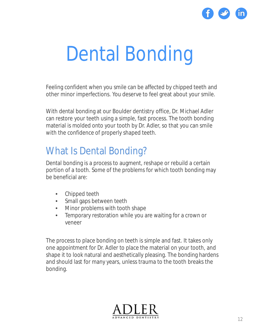

### Dental Bonding

Feeling confident when you smile can be affected by chipped teeth and other minor imperfections. You deserve to feel great about your smile.

With dental bonding at our Boulder dentistry office, Dr. Michael Adler can restore your teeth using a simple, fast process. The tooth bonding material is molded onto your tooth by Dr. Adler, so that you can smile with the confidence of properly shaped teeth.

#### What Is Dental Bonding?

Dental bonding is a process to augment, reshape or rebuild a certain portion of a tooth. Some of the problems for which tooth bonding may be beneficial are:

- Chipped teeth
- Small gaps between teeth
- Minor problems with tooth shape
- Temporary restoration while you are waiting for a crown or veneer

The process to place bonding on teeth is simple and fast. It takes only one appointment for Dr. Adler to place the material on your tooth, and shape it to look natural and aesthetically pleasing. The bonding hardens and should last for many years, unless trauma to the tooth breaks the bonding.

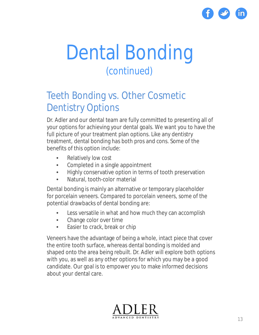

### Dental Bonding *(continued)*

#### Teeth Bonding vs. Other Cosmetic Dentistry Options

Dr. Adler and our dental team are fully committed to presenting all of your options for achieving your dental goals. We want you to have the full picture of your treatment plan options. Like any dentistry treatment, dental bonding has both pros and cons. Some of the benefits of this option include:

- Relatively low cost
- Completed in a single appointment
- Highly conservative option in terms of tooth preservation
- Natural, tooth-color material

Dental bonding is mainly an alternative or temporary placeholder for porcelain veneers. Compared to porcelain veneers, some of the potential drawbacks of dental bonding are:

- Less versatile in what and how much they can accomplish
- Change color over time
- Easier to crack, break or chip

Veneers have the advantage of being a whole, intact piece that cover the entire tooth surface, whereas dental bonding is molded and shaped onto the area being rebuilt. Dr. Adler will explore both options with you, as well as any other options for which you may be a good candidate. Our goal is to empower you to make informed decisions about your dental care.

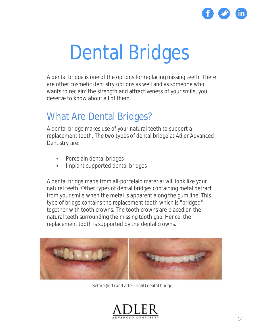

### Dental Bridges

A dental bridge is one of the options for replacing missing teeth. There are other cosmetic dentistry options as well and as someone who wants to reclaim the strength and attractiveness of your smile, you deserve to know about all of them.

#### What Are Dental Bridges?

A dental bridge makes use of your natural teeth to support a replacement tooth. The two types of dental bridge at Adler Advanced Dentistry are:

- Porcelain dental bridges
- Implant-supported dental bridges

A dental bridge made from all-porcelain material will look like your natural teeth. Other types of dental bridges containing metal detract from your smile when the metal is apparent along the gum line. This type of bridge contains the replacement tooth which is "bridged" together with tooth crowns. The tooth crowns are placed on the natural teeth surrounding the missing tooth gap. Hence, the replacement tooth is supported by the dental crowns.



*Before (left) and after (right) dental bridge*

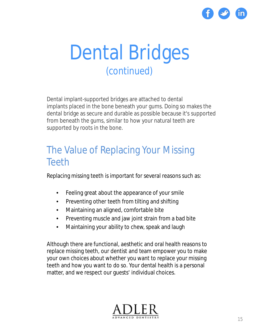

### Dental Bridges *(continued)*

Dental implant-supported bridges are attached to dental implants placed in the bone beneath your gums. Doing so makes the dental bridge as secure and durable as possible because it's supported from beneath the gums, similar to how your natural teeth are supported by roots in the bone.

#### The Value of Replacing Your Missing **Teeth**

Replacing missing teeth is important for several reasons such as:

- Feeling great about the appearance of your smile
- Preventing other teeth from tilting and shifting
- Maintaining an aligned, comfortable bite
- Preventing muscle and jaw joint strain from a bad bite
- Maintaining your ability to chew, speak and laugh

Although there are functional, aesthetic and oral health reasons to replace missing teeth, our dentist and team empower you to make your own choices about whether you want to replace your missing teeth and how you want to do so. Your dental health is a personal matter, and we respect our guests' individual choices.

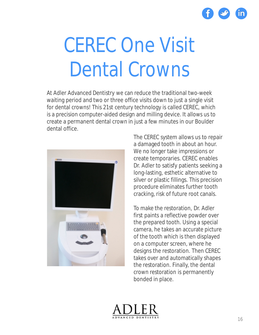

### CEREC One Visit Dental Crowns

At Adler Advanced Dentistry we can reduce the traditional two-week waiting period and two or three office visits down to just a single visit for dental crowns! This 21st century technology is called CEREC, which is a precision computer-aided design and milling device. It allows us to create a permanent dental crown in just a few minutes in our Boulder dental office.



The CEREC system allows us to repair a damaged tooth in about an hour. We no longer take impressions or create temporaries. CEREC enables Dr. Adler to satisfy patients seeking a long-lasting, esthetic alternative to silver or plastic fillings. This precision procedure eliminates further tooth cracking, risk of future root canals.

To make the restoration, Dr. Adler first paints a reflective powder over the prepared tooth. Using a special camera, he takes an accurate picture of the tooth which is then displayed on a computer screen, where he designs the restoration. Then CEREC takes over and automatically shapes the restoration. Finally, the dental crown restoration is permanently bonded in place.

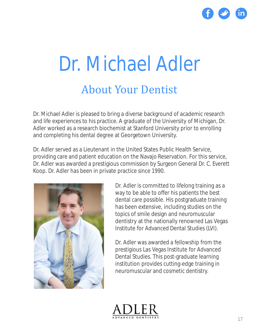

### Dr. Michael Adler About Your Dentist

Dr. Michael Adler is pleased to bring a diverse background of academic research and life experiences to his practice. A graduate of the University of Michigan, Dr. Adler worked as a research biochemist at Stanford University prior to enrolling and completing his dental degree at Georgetown University.

Dr. Adler served as a Lieutenant in the United States Public Health Service, providing care and patient education on the Navajo Reservation. For this service, Dr. Adler was awarded a prestigious commission by Surgeon General Dr. C. Everett Koop. Dr. Adler has been in private practice since 1990.



Dr. Adler is committed to lifelong training as a way to be able to offer his patients the best dental care possible. His postgraduate training has been extensive, including studies on the topics of smile design and neuromuscular dentistry at the nationally renowned Las Vegas Institute for Advanced Dental Studies (LVI).

Dr. Adler was awarded a fellowship from the prestigious Las Vegas Institute for Advanced Dental Studies. This post-graduate learning institution provides cutting-edge training in neuromuscular and cosmetic dentistry.